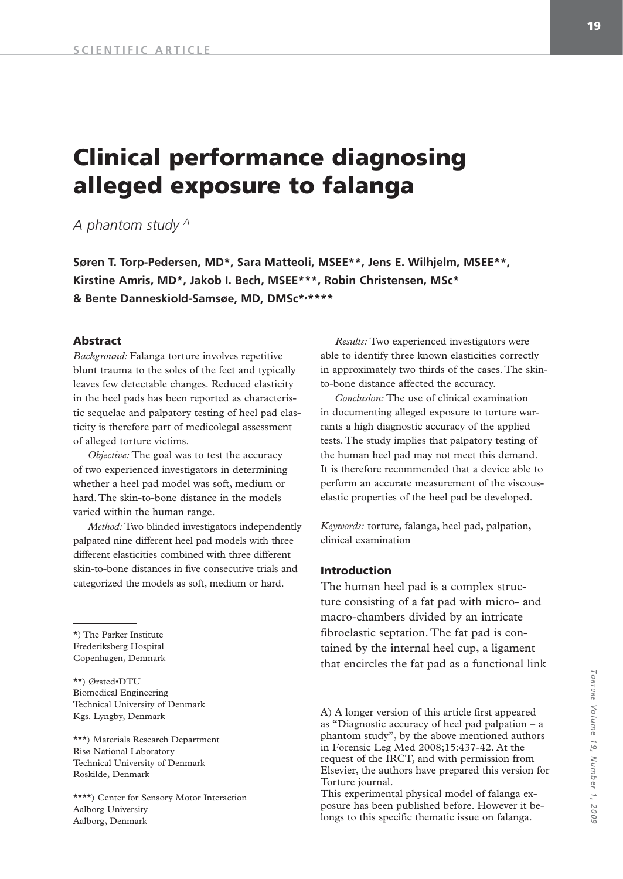# **Clinical performance diagnosing alleged exposure to falanga**

*A phantom study A*

**Søren T. Torp-Pedersen, MD\*, Sara Matteoli, MSEE\*\*, Jens E. Wilhjelm, MSEE\*\*, Kirstine Amris, MD\*, Jakob I. Bech, MSEE\*\*\*, Robin Christensen, MSc\* & Bente Danneskiold-Samsøe, MD, DMSc\*'\*\*\*\***

#### **Abstract**

*Background:* Falanga torture involves repetitive blunt trauma to the soles of the feet and typically leaves few detectable changes. Reduced elasticity in the heel pads has been reported as characteristic sequelae and palpatory testing of heel pad elasticity is therefore part of medicolegal assessment of alleged torture victims.

*Objective:* The goal was to test the accuracy of two experienced investigators in determining whether a heel pad model was soft, medium or hard. The skin-to-bone distance in the models varied within the human range.

*Method:* Two blinded investigators independently palpated nine different heel pad models with three different elasticities combined with three different skin-to-bone distances in five consecutive trials and categorized the models as soft, medium or hard.

\*) The Parker Institute Frederiksberg Hospital Copenhagen, Denmark

\*\*) Ørsted•DTU Biomedical Engineering Technical University of Denmark Kgs. Lyngby, Denmark

\*\*\*) Materials Research Department Risø National Laboratory Technical University of Denmark Roskilde, Denmark

\*\*\*\*) Center for Sensory Motor Interaction Aalborg University Aalborg, Denmark

*Results:* Two experienced investigators were able to identify three known elasticities correctly in approximately two thirds of the cases. The skinto-bone distance affected the accuracy.

*Conclusion:* The use of clinical examination in documenting alleged exposure to torture warrants a high diagnostic accuracy of the applied tests. The study implies that palpatory testing of the human heel pad may not meet this demand. It is therefore recommended that a device able to perform an accurate measurement of the viscouselastic properties of the heel pad be developed.

*Keywords:* torture, falanga, heel pad, palpation, clinical examination

#### **Introduction**

The human heel pad is a complex structure consisting of a fat pad with micro- and macro-chambers divided by an intricate fibroelastic septation. The fat pad is contained by the internal heel cup, a ligament that encircles the fat pad as a functional link

A) A longer version of this article first appeared as "Diagnostic accuracy of heel pad palpation – a phantom study", by the above mentioned authors in Forensic Leg Med 2008;15:437-42. At the request of the IRCT, and with permission from Elsevier, the authors have prepared this version for Torture journal.

This experimental physical model of falanga exposure has been published before. However it belongs to this specific thematic issue on falanga.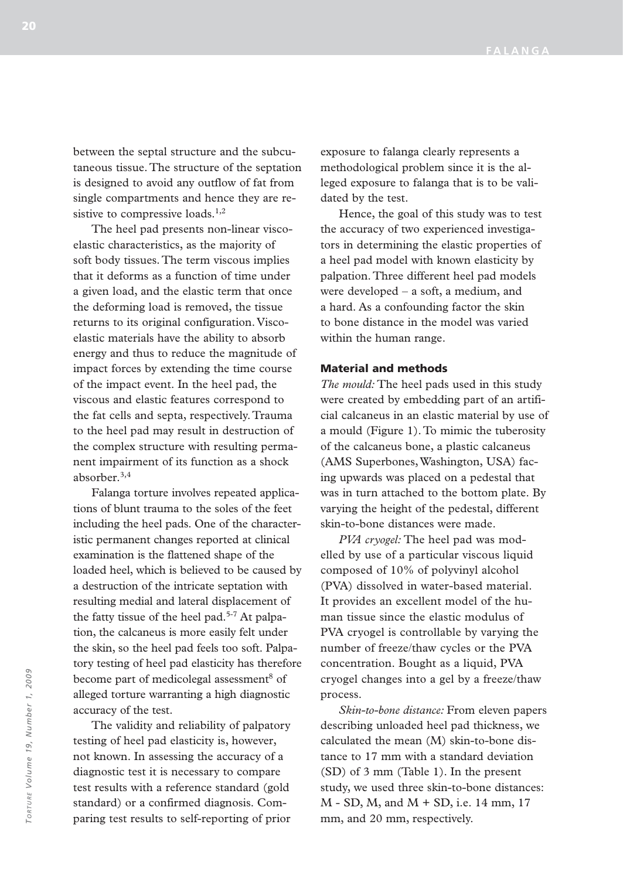between the septal structure and the subcutaneous tissue. The structure of the septation is designed to avoid any outflow of fat from single compartments and hence they are resistive to compressive loads.<sup>1,2</sup>

The heel pad presents non-linear viscoelastic characteristics, as the majority of soft body tissues. The term viscous implies that it deforms as a function of time under a given load, and the elastic term that once the deforming load is removed, the tissue returns to its original configuration. Viscoelastic materials have the ability to absorb energy and thus to reduce the magnitude of impact forces by extending the time course of the impact event. In the heel pad, the viscous and elastic features correspond to the fat cells and septa, respectively. Trauma to the heel pad may result in destruction of the complex structure with resulting permanent impairment of its function as a shock absorber.3,4

Falanga torture involves repeated applications of blunt trauma to the soles of the feet including the heel pads. One of the characteristic permanent changes reported at clinical examination is the flattened shape of the loaded heel, which is believed to be caused by a destruction of the intricate septation with resulting medial and lateral displacement of the fatty tissue of the heel pad.<sup>5-7</sup> At palpation, the calcaneus is more easily felt under the skin, so the heel pad feels too soft. Palpatory testing of heel pad elasticity has therefore become part of medicolegal assessment<sup>8</sup> of alleged torture warranting a high diagnostic accuracy of the test.

The validity and reliability of palpatory testing of heel pad elasticity is, however, not known. In assessing the accuracy of a diagnostic test it is necessary to compare test results with a reference standard (gold standard) or a confirmed diagnosis. Comparing test results to self-reporting of prior exposure to falanga clearly represents a methodological problem since it is the alleged exposure to falanga that is to be validated by the test.

Hence, the goal of this study was to test the accuracy of two experienced investigators in determining the elastic properties of a heel pad model with known elasticity by palpation. Three different heel pad models were developed – a soft, a medium, and a hard. As a confounding factor the skin to bone distance in the model was varied within the human range.

#### **Material and methods**

*The mould:* The heel pads used in this study were created by embedding part of an artificial calcaneus in an elastic material by use of a mould (Figure 1). To mimic the tuberosity of the calcaneus bone, a plastic calcaneus (AMS Superbones, Washington, USA) facing upwards was placed on a pedestal that was in turn attached to the bottom plate. By varying the height of the pedestal, different skin-to-bone distances were made.

*PVA cryogel:* The heel pad was modelled by use of a particular viscous liquid composed of 10% of polyvinyl alcohol (PVA) dissolved in water-based material. It provides an excellent model of the human tissue since the elastic modulus of PVA cryogel is controllable by varying the number of freeze/thaw cycles or the PVA concentration. Bought as a liquid, PVA cryogel changes into a gel by a freeze/thaw process.

*Skin-to-bone distance:* From eleven papers describing unloaded heel pad thickness, we calculated the mean (M) skin-to-bone distance to 17 mm with a standard deviation (SD) of 3 mm (Table 1). In the present study, we used three skin-to-bone distances: M - SD, M, and M + SD, i.e. 14 mm, 17 mm, and 20 mm, respectively.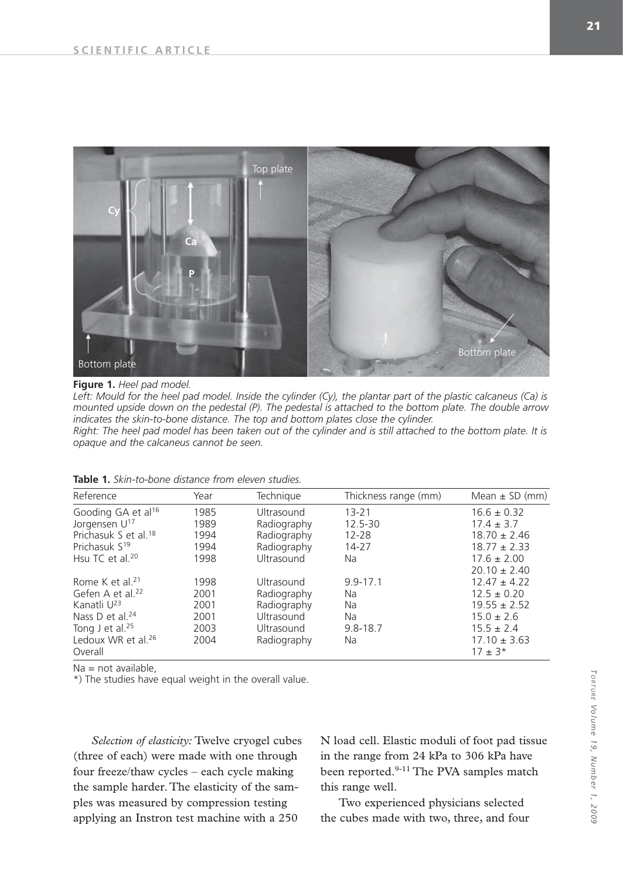

### **Figure 1.** *Heel pad model.*

Left: Mould for the heel pad model. Inside the cylinder (Cy), the plantar part of the plastic calcaneus (Ca) is *mounted upside down on the pedestal (P). The pedestal is attached to the bottom plate. The double arrow indicates the skin-to-bone distance. The top and bottom plates close the cylinder.*

*Right: The heel pad model has been taken out of the cylinder and is still attached to the bottom plate. It is opaque and the calcaneus cannot be seen.*

| <b>Table 1.</b> Skin-to-bone distance from eleven studies. |  |  |  |  |
|------------------------------------------------------------|--|--|--|--|
|------------------------------------------------------------|--|--|--|--|

| Reference                        | Year | Technique   | Thickness range (mm) | Mean $\pm$ SD (mm) |
|----------------------------------|------|-------------|----------------------|--------------------|
| Gooding GA et al <sup>16</sup>   | 1985 | Ultrasound  | $13 - 21$            | $16.6 \pm 0.32$    |
| Jorgensen U <sup>17</sup>        | 1989 | Radiography | 12.5-30              | $17.4 \pm 3.7$     |
| Prichasuk S et al. <sup>18</sup> | 1994 | Radiography | $12 - 28$            | $18.70 \pm 2.46$   |
| Prichasuk S <sup>19</sup>        | 1994 | Radiography | 14-27                | $18.77 \pm 2.33$   |
| Hsu TC et al. $20$               | 1998 | Ultrasound  | Na                   | $17.6 \pm 2.00$    |
|                                  |      |             |                      | $20.10 \pm 2.40$   |
| Rome K et al. <sup>21</sup>      | 1998 | Ultrasound  | $9.9 - 17.1$         | $12.47 \pm 4.22$   |
| Gefen A et al. $22$              | 2001 | Radiography | <b>Na</b>            | $12.5 \pm 0.20$    |
| Kanatli U <sup>23</sup>          | 2001 | Radiography | <b>Na</b>            | $19.55 \pm 2.52$   |
| Nass D et al. $24$               | 2001 | Ultrasound  | <b>Na</b>            | $15.0 \pm 2.6$     |
| Tong J et al. $25$               | 2003 | Ultrasound  | $9.8 - 18.7$         | $15.5 \pm 2.4$     |
| Ledoux WR et al. $26$            | 2004 | Radiography | <b>Na</b>            | $17.10 \pm 3.63$   |
| Overall                          |      |             |                      | $17 \pm 3*$        |

Na = not available,

\*) The studies have equal weight in the overall value.

*Selection of elasticity:* Twelve cryogel cubes (three of each) were made with one through four freeze/thaw cycles – each cycle making the sample harder. The elasticity of the samples was measured by compression testing applying an Instron test machine with a 250

N load cell. Elastic moduli of foot pad tissue in the range from 24 kPa to 306 kPa have been reported.<sup>9-11</sup> The PVA samples match this range well.

Two experienced physicians selected the cubes made with two, three, and four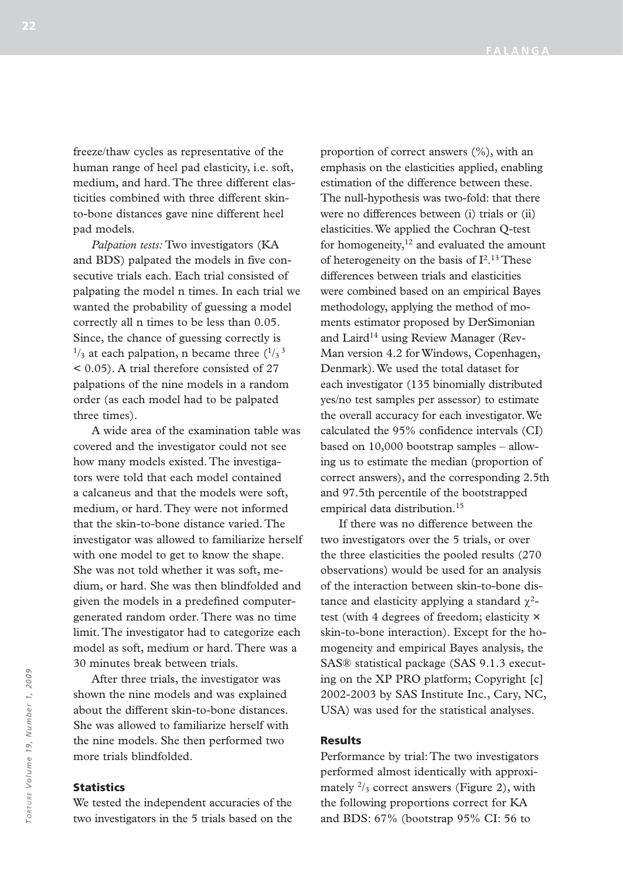freeze/thaw cycles as representative of the human range of heel pad elasticity, i.e. soft, medium, and hard. The three different elasticities combined with three different skinto-bone distances gave nine different heel pad models.

*Palpation tests:* Two investigators (KA and BDS) palpated the models in five consecutive trials each. Each trial consisted of palpating the model n times. In each trial we wanted the probability of guessing a model correctly all n times to be less than 0.05. Since, the chance of guessing correctly is  $\frac{1}{3}$  at each palpation, n became three  $\frac{(1)}{3}$ < 0.05). A trial therefore consisted of 27 palpations of the nine models in a random order (as each model had to be palpated three times).

A wide area of the examination table was covered and the investigator could not see how many models existed. The investigators were told that each model contained a calcaneus and that the models were soft, medium, or hard. They were not informed that the skin-to-bone distance varied. The investigator was allowed to familiarize herself with one model to get to know the shape. She was not told whether it was soft, medium, or hard. She was then blindfolded and given the models in a predefined computergenerated random order. There was no time limit. The investigator had to categorize each model as soft, medium or hard. There was a 30 minutes break between trials.

After three trials, the investigator was shown the nine models and was explained about the different skin-to-bone distances. She was allowed to familiarize herself with the nine models. She then performed two more trials blindfolded.

#### **Statistics**

We tested the independent accuracies of the two investigators in the 5 trials based on the proportion of correct answers (%), with an emphasis on the elasticities applied, enabling estimation of the difference between these. The null-hypothesis was two-fold: that there were no differences between (i) trials or (ii) elasticities. We applied the Cochran Q-test for homogeneity, $12$  and evaluated the amount of heterogeneity on the basis of  $I<sup>2,13</sup>$  These differences between trials and elasticities were combined based on an empirical Bayes methodology, applying the method of moments estimator proposed by DerSimonian and Laird<sup>14</sup> using Review Manager (Rev-Man version 4.2 for Windows, Copenhagen, Denmark). We used the total dataset for each investigator (135 binomially distributed yes/no test samples per assessor) to estimate the overall accuracy for each investigator. We calculated the 95% confidence intervals (CI) based on 10,000 bootstrap samples – allowing us to estimate the median (proportion of correct answers), and the corresponding 2.5th and 97.5th percentile of the bootstrapped empirical data distribution.15

If there was no difference between the two investigators over the 5 trials, or over the three elasticities the pooled results (270 observations) would be used for an analysis of the interaction between skin-to-bone distance and elasticity applying a standard  $χ²$ test (with 4 degrees of freedom; elasticity × skin-to-bone interaction). Except for the homogeneity and empirical Bayes analysis, the SAS® statistical package (SAS 9.1.3 executing on the XP PRO platform; Copyright [c] 2002-2003 by SAS Institute Inc., Cary, NC, USA) was used for the statistical analyses.

### **Results**

Performance by trial: The two investigators performed almost identically with approximately  $\frac{2}{3}$  correct answers (Figure 2), with the following proportions correct for KA and BDS: 67% (bootstrap 95% CI: 56 to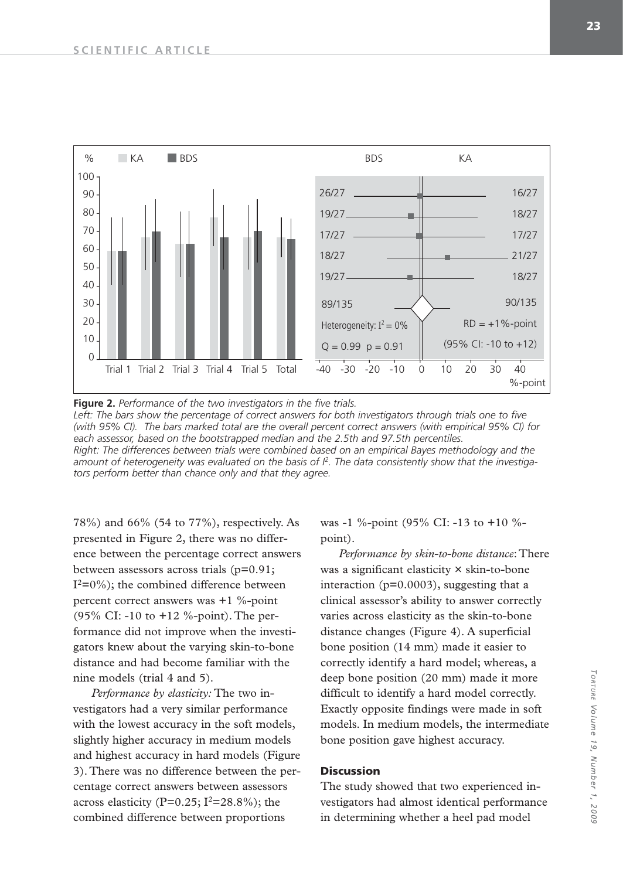

**Figure 2.** *Performance of the two investigators in the five trials.* Left: The bars show the percentage of correct answers for both investigators through trials one to five *(with 95% CI). The bars marked total are the overall percent correct answers (with empirical 95% CI) for each assessor, based on the bootstrapped median and the 2.5th and 97.5th percentiles. Right: The differences between trials were combined based on an empirical Bayes methodology and the amount of heterogeneity was evaluated on the basis of I2. The data consistently show that the investigators perform better than chance only and that they agree.* 

78%) and 66% (54 to 77%), respectively. As presented in Figure 2, there was no difference between the percentage correct answers between assessors across trials (p=0.91;  $I^2=0\%$ ; the combined difference between percent correct answers was +1 %-point (95% CI: -10 to +12 %-point). The performance did not improve when the investigators knew about the varying skin-to-bone distance and had become familiar with the nine models (trial 4 and 5).

*Performance by elasticity:* The two investigators had a very similar performance with the lowest accuracy in the soft models, slightly higher accuracy in medium models and highest accuracy in hard models (Figure 3). There was no difference between the percentage correct answers between assessors across elasticity (P=0.25;  $I^2=28.8\%$ ); the combined difference between proportions

was -1 %-point (95% CI: -13 to +10 % point).

*Performance by skin-to-bone distance*: There was a significant elasticity × skin-to-bone interaction (p=0.0003), suggesting that a clinical assessor's ability to answer correctly varies across elasticity as the skin-to-bone distance changes (Figure 4). A superficial bone position (14 mm) made it easier to correctly identify a hard model; whereas, a deep bone position (20 mm) made it more difficult to identify a hard model correctly. Exactly opposite findings were made in soft models. In medium models, the intermediate bone position gave highest accuracy.

## **Discussion**

The study showed that two experienced investigators had almost identical performance in determining whether a heel pad model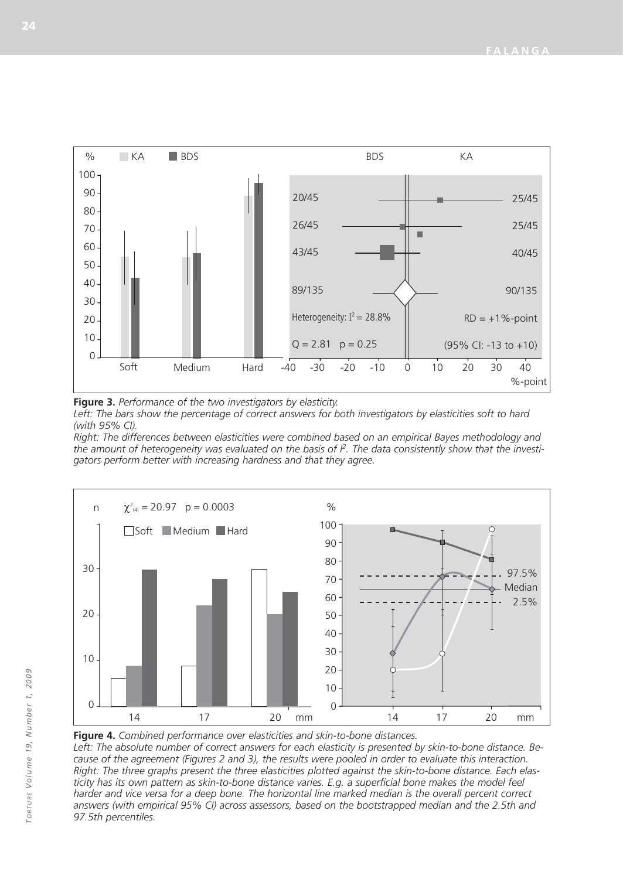

**Figure 3.** *Performance of the two investigators by elasticity.*  Left: The bars show the percentage of correct answers for both investigators by elasticities soft to hard *(with 95% CI).* 

*Right: The differences between elasticities were combined based on an empirical Bayes methodology and the amount of heterogeneity was evaluated on the basis of I2. The data consistently show that the investigators perform better with increasing hardness and that they agree.*



**Figure 4.** *Combined performance over elasticities and skin-to-bone distances.*

*Left: The absolute number of correct answers for each elasticity is presented by skin-to-bone distance. Because of the agreement (Figures 2 and 3), the results were pooled in order to evaluate this interaction. Right: The three graphs present the three elasticities plotted against the skin-to-bone distance. Each elas*ticity has its own pattern as skin-to-bone distance varies. E.g. a superficial bone makes the model feel harder and vice versa for a deep bone. The horizontal line marked median is the overall percent correct *answers (with empirical 95% CI) across assessors, based on the bootstrapped median and the 2.5th and 97.5th percentiles.*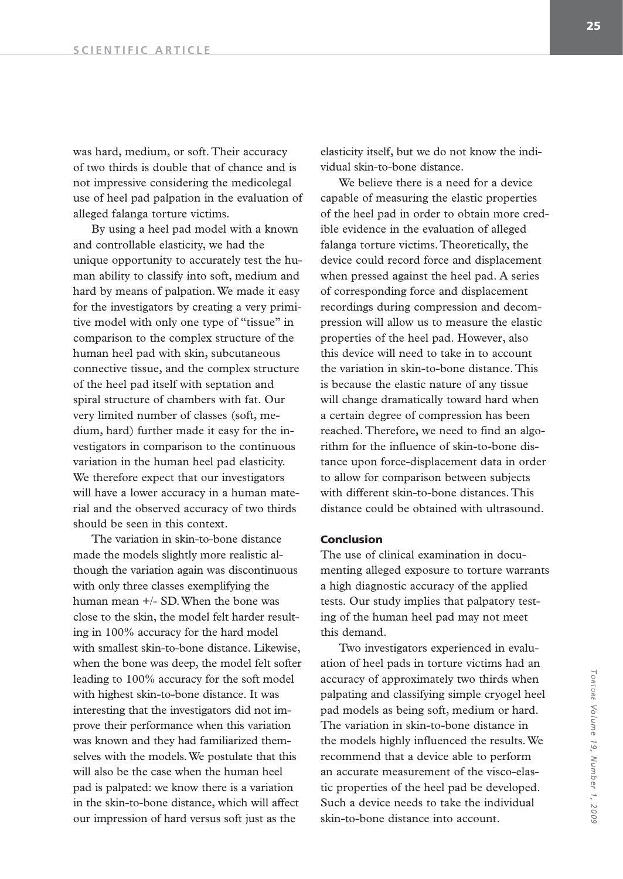was hard, medium, or soft. Their accuracy of two thirds is double that of chance and is not impressive considering the medicolegal use of heel pad palpation in the evaluation of alleged falanga torture victims.

By using a heel pad model with a known and controllable elasticity, we had the unique opportunity to accurately test the human ability to classify into soft, medium and hard by means of palpation. We made it easy for the investigators by creating a very primitive model with only one type of "tissue" in comparison to the complex structure of the human heel pad with skin, subcutaneous connective tissue, and the complex structure of the heel pad itself with septation and spiral structure of chambers with fat. Our very limited number of classes (soft, medium, hard) further made it easy for the investigators in comparison to the continuous variation in the human heel pad elasticity. We therefore expect that our investigators will have a lower accuracy in a human material and the observed accuracy of two thirds should be seen in this context.

The variation in skin-to-bone distance made the models slightly more realistic although the variation again was discontinuous with only three classes exemplifying the human mean +/- SD. When the bone was close to the skin, the model felt harder resulting in 100% accuracy for the hard model with smallest skin-to-bone distance. Likewise, when the bone was deep, the model felt softer leading to 100% accuracy for the soft model with highest skin-to-bone distance. It was interesting that the investigators did not improve their performance when this variation was known and they had familiarized themselves with the models. We postulate that this will also be the case when the human heel pad is palpated: we know there is a variation in the skin-to-bone distance, which will affect our impression of hard versus soft just as the

elasticity itself, but we do not know the individual skin-to-bone distance.

We believe there is a need for a device capable of measuring the elastic properties of the heel pad in order to obtain more credible evidence in the evaluation of alleged falanga torture victims. Theoretically, the device could record force and displacement when pressed against the heel pad. A series of corresponding force and displacement recordings during compression and decompression will allow us to measure the elastic properties of the heel pad. However, also this device will need to take in to account the variation in skin-to-bone distance. This is because the elastic nature of any tissue will change dramatically toward hard when a certain degree of compression has been reached. Therefore, we need to find an algorithm for the influence of skin-to-bone distance upon force-displacement data in order to allow for comparison between subjects with different skin-to-bone distances. This distance could be obtained with ultrasound.

### **Conclusion**

The use of clinical examination in documenting alleged exposure to torture warrants a high diagnostic accuracy of the applied tests. Our study implies that palpatory testing of the human heel pad may not meet this demand.

Two investigators experienced in evaluation of heel pads in torture victims had an accuracy of approximately two thirds when palpating and classifying simple cryogel heel pad models as being soft, medium or hard. The variation in skin-to-bone distance in the models highly influenced the results. We recommend that a device able to perform an accurate measurement of the visco-elastic properties of the heel pad be developed. Such a device needs to take the individual skin-to-bone distance into account.